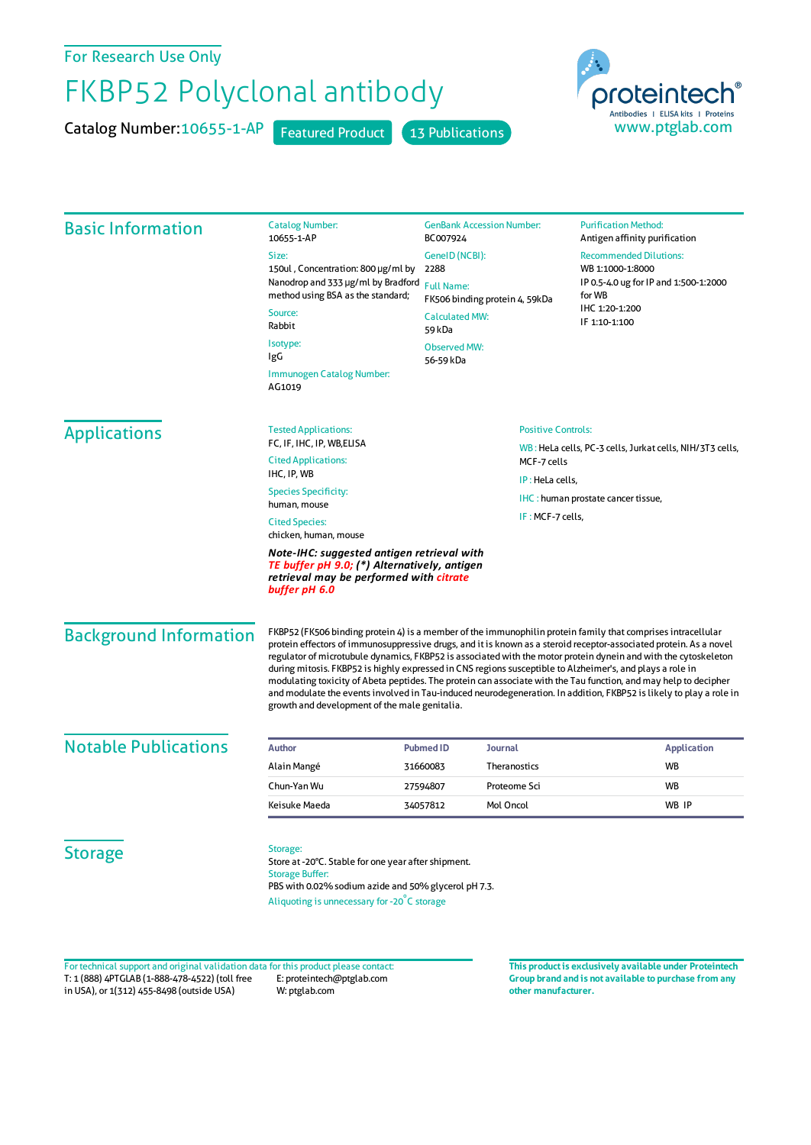For Research Use Only

## FKBP52 Polyclonal antibody

Catalog Number: 10655-1-AP Featured Product 13 Publications



| <b>Basic Information</b>      | <b>Catalog Number:</b><br>10655-1-AP                                                                                                                                                                                                                                                                                                                                                                                                                                                                                                                                                                                                                                                                                                                          | <b>GenBank Accession Number:</b><br>BC007924        |                           | <b>Purification Method:</b><br>Antigen affinity purification                               |  |
|-------------------------------|---------------------------------------------------------------------------------------------------------------------------------------------------------------------------------------------------------------------------------------------------------------------------------------------------------------------------------------------------------------------------------------------------------------------------------------------------------------------------------------------------------------------------------------------------------------------------------------------------------------------------------------------------------------------------------------------------------------------------------------------------------------|-----------------------------------------------------|---------------------------|--------------------------------------------------------------------------------------------|--|
|                               | Size:                                                                                                                                                                                                                                                                                                                                                                                                                                                                                                                                                                                                                                                                                                                                                         | GenelD (NCBI):<br>2288                              |                           | <b>Recommended Dilutions:</b><br>WB 1:1000-1:8000<br>IP 0.5-4.0 ug for IP and 1:500-1:2000 |  |
|                               | 150ul, Concentration: 800 µg/ml by<br>Nanodrop and 333 µg/ml by Bradford<br>method using BSA as the standard;<br>Source:<br>Rabbit<br>Isotype:                                                                                                                                                                                                                                                                                                                                                                                                                                                                                                                                                                                                                |                                                     |                           |                                                                                            |  |
|                               |                                                                                                                                                                                                                                                                                                                                                                                                                                                                                                                                                                                                                                                                                                                                                               | <b>Full Name:</b><br>FK506 binding protein 4, 59kDa |                           | for WB<br>IHC 1:20-1:200<br>IF 1:10-1:100                                                  |  |
|                               |                                                                                                                                                                                                                                                                                                                                                                                                                                                                                                                                                                                                                                                                                                                                                               | <b>Calculated MW:</b><br>59 kDa                     |                           |                                                                                            |  |
|                               |                                                                                                                                                                                                                                                                                                                                                                                                                                                                                                                                                                                                                                                                                                                                                               | <b>Observed MW:</b>                                 |                           |                                                                                            |  |
|                               | IgG                                                                                                                                                                                                                                                                                                                                                                                                                                                                                                                                                                                                                                                                                                                                                           | 56-59 kDa                                           |                           |                                                                                            |  |
|                               | Immunogen Catalog Number:<br>AG1019                                                                                                                                                                                                                                                                                                                                                                                                                                                                                                                                                                                                                                                                                                                           |                                                     |                           |                                                                                            |  |
| <b>Applications</b>           | <b>Tested Applications:</b>                                                                                                                                                                                                                                                                                                                                                                                                                                                                                                                                                                                                                                                                                                                                   |                                                     | <b>Positive Controls:</b> |                                                                                            |  |
|                               | FC, IF, IHC, IP, WB, ELISA<br><b>Cited Applications:</b><br>IHC, IP, WB<br><b>Species Specificity:</b><br>human, mouse                                                                                                                                                                                                                                                                                                                                                                                                                                                                                                                                                                                                                                        |                                                     |                           | WB: HeLa cells, PC-3 cells, Jurkat cells, NIH/3T3 cells,                                   |  |
|                               |                                                                                                                                                                                                                                                                                                                                                                                                                                                                                                                                                                                                                                                                                                                                                               |                                                     | MCF-7 cells               |                                                                                            |  |
|                               |                                                                                                                                                                                                                                                                                                                                                                                                                                                                                                                                                                                                                                                                                                                                                               |                                                     | IP: HeLa cells,           |                                                                                            |  |
|                               |                                                                                                                                                                                                                                                                                                                                                                                                                                                                                                                                                                                                                                                                                                                                                               |                                                     |                           | IHC: human prostate cancer tissue,                                                         |  |
|                               | IF: MCF-7 cells,<br><b>Cited Species:</b><br>chicken, human, mouse                                                                                                                                                                                                                                                                                                                                                                                                                                                                                                                                                                                                                                                                                            |                                                     |                           |                                                                                            |  |
|                               | Note-IHC: suggested antigen retrieval with<br>TE buffer pH 9.0; (*) Alternatively, antigen<br>retrieval may be performed with citrate<br>buffer pH 6.0                                                                                                                                                                                                                                                                                                                                                                                                                                                                                                                                                                                                        |                                                     |                           |                                                                                            |  |
| <b>Background Information</b> | FKBP52 (FK506 binding protein 4) is a member of the immunophilin protein family that comprises intracellular<br>protein effectors of immunosuppressive drugs, and it is known as a steroid receptor-associated protein. As a novel<br>regulator of microtubule dynamics, FKBP52 is associated with the motor protein dynein and with the cytoskeleton<br>during mitosis. FKBP52 is highly expressed in CNS regions susceptible to Alzheimer's, and plays a role in<br>modulating toxicity of Abeta peptides. The protein can associate with the Tau function, and may help to decipher<br>and modulate the events involved in Tau-induced neurodegeneration. In addition, FKBP52 is likely to play a role in<br>growth and development of the male genitalia. |                                                     |                           |                                                                                            |  |
| <b>Notable Publications</b>   | <b>Author</b>                                                                                                                                                                                                                                                                                                                                                                                                                                                                                                                                                                                                                                                                                                                                                 | <b>Pubmed ID</b><br>Journal                         |                           | <b>Application</b>                                                                         |  |
|                               | Alain Mangé                                                                                                                                                                                                                                                                                                                                                                                                                                                                                                                                                                                                                                                                                                                                                   | 31660083                                            | Theranostics              | WB                                                                                         |  |
|                               | Chun-Yan Wu                                                                                                                                                                                                                                                                                                                                                                                                                                                                                                                                                                                                                                                                                                                                                   | 27594807                                            | Proteome Sci              | WB                                                                                         |  |
|                               | Keisuke Maeda                                                                                                                                                                                                                                                                                                                                                                                                                                                                                                                                                                                                                                                                                                                                                 | 34057812                                            | Mol Oncol                 | WB IP                                                                                      |  |
| <b>Storage</b>                | Storage:<br>Store at -20°C. Stable for one year after shipment.<br><b>Storage Buffer:</b><br>PBS with 0.02% sodium azide and 50% glycerol pH 7.3.<br>Aliquoting is unnecessary for -20°C storage                                                                                                                                                                                                                                                                                                                                                                                                                                                                                                                                                              |                                                     |                           |                                                                                            |  |

T: 1 (888) 4PTGLAB (1-888-478-4522) (toll free in USA), or 1(312) 455-8498 (outside USA) E: proteintech@ptglab.com W: ptglab.com Fortechnical support and original validation data forthis product please contact: **This productis exclusively available under Proteintech**

**Group brand and is not available to purchase from any other manufacturer.**